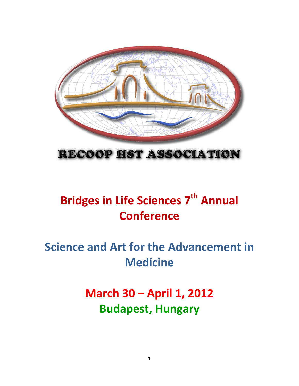

## RECOOP HST ASSOCIATION

# Bridges in Life Sciences 7<sup>th</sup> Annual **Conference**

# Science and Art for the Advancement in **Medicine**

# March 30 – April 1, 2012 Budapest, Hungary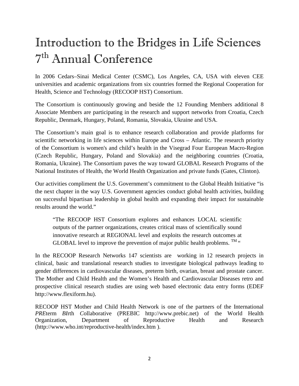# Introduction to the Bridges in Life Sciences 7 th Annual Conference

In 2006 Cedars–Sinai Medical Center (CSMC), Los Angeles, CA, USA with eleven CEE universities and academic organizations from six countries formed the Regional Cooperation for Health, Science and Technology (RECOOP HST) Consortium.

The Consortium is continuously growing and beside the 12 Founding Members additional 8 Associate Members are participating in the research and support networks from Croatia, Czech Republic, Denmark, Hungary, Poland, Romania, Slovakia, Ukraine and USA.

The Consortium's main goal is to enhance research collaboration and provide platforms for scientific networking in life sciences within Europe and Cross – Atlantic. The research priority of the Consortium is women's and child's health in the Visegrad Four European Macro-Region (Czech Republic, Hungary, Poland and Slovakia) and the neighboring countries (Croatia, Romania, Ukraine). The Consortium paves the way toward GLOBAL Research Programs of the National Institutes of Health, the World Health Organization and private funds (Gates, Clinton).

Our activities compliment the U.S. Government's commitment to the Global Health Initiative "is the next chapter in the way U.S. Government agencies conduct global health activities, building on successful bipartisan leadership in global health and expanding their impact for sustainable results around the world."

"The RECOOP HST Consortium explores and enhances LOCAL scientific outputs of the partner organizations, creates critical mass of scientifically sound innovative research at REGIONAL level and exploits the research outcomes at GLOBAL level to improve the prevention of major public health problems.  $^{TM}$  "

In the RECOOP Research Networks 147 scientists are working in 12 research projects in clinical, basic and translational research studies to investigate biological pathways leading to gender differences in cardiovascular diseases, preterm birth, ovarian, breast and prostate cancer. The Mother and Child Health and the Women's Health and Cardiovascular Diseases retro and prospective clinical research studies are using web based electronic data entry forms (EDEF http://www.flexiform.hu).

RECOOP HST Mother and Child Health Network is one of the partners of the International *PRE*term *BI*rth *C*ollaborative (PREBIC http://www.prebic.net) of the World Health Organization, Department of Reproductive Health and Research (http://www.who.int/reproductive-health/index.htm ).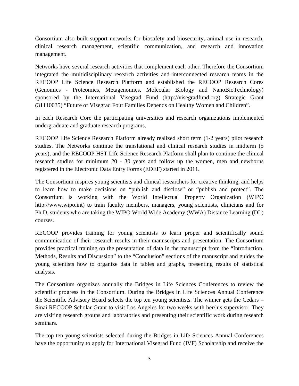Consortium also built support networks for biosafety and biosecurity, animal use in research, clinical research management, scientific communication, and research and innovation management.

Networks have several research activities that complement each other. Therefore the Consortium integrated the multidisciplinary research activities and interconnected research teams in the RECOOP Life Science Research Platform and established the RECOOP Research Cores (Genomics - Proteomics, Metagenomics, Molecular Biology and NanoBioTechnology) sponsored by the International Visegrad Fund (http://visegradfund.org) Strategic Grant (31110035) "Future of Visegrad Four Families Depends on Healthy Women and Children".

In each Research Core the participating universities and research organizations implemented undergraduate and graduate research programs.

RECOOP Life Science Research Platform already realized short term (1-2 years) pilot research studies. The Networks continue the translational and clinical research studies in midterm (5 years), and the RECOOP HST Life Science Research Platform shall plan to continue the clinical research studies for minimum 20 - 30 years and follow up the women, men and newborns registered in the Electronic Data Entry Forms (EDEF) started in 2011.

The Consortium inspires young scientists and clinical researchers for creative thinking, and helps to learn how to make decisions on "publish and disclose" or "publish and protect". The Consortium is working with the World Intellectual Property Organization (WIPO http://www.wipo.int) to train faculty members, managers, young scientists, clinicians and for Ph.D. students who are taking the WIPO World Wide Academy (WWA) Distance Learning (DL) courses.

RECOOP provides training for young scientists to learn proper and scientifically sound communication of their research results in their manuscripts and presentation. The Consortium provides practical training on the presentation of data in the manuscript from the "Introduction, Methods, Results and Discussion" to the "Conclusion" sections of the manuscript and guides the young scientists how to organize data in tables and graphs, presenting results of statistical analysis.

The Consortium organizes annually the Bridges in Life Sciences Conferences to review the scientific progress in the Consortium. During the Bridges in Life Sciences Annual Conference the Scientific Advisory Board selects the top ten young scientists. The winner gets the Cedars – Sinai RECOOP Scholar Grant to visit Los Angeles for two weeks with her/his supervisor. They are visiting research groups and laboratories and presenting their scientific work during research seminars.

The top ten young scientists selected during the Bridges in Life Sciences Annual Conferences have the opportunity to apply for International Visegrad Fund (IVF) Scholarship and receive the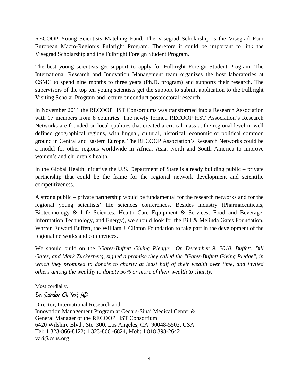RECOOP Young Scientists Matching Fund. The Visegrad Scholarship is the Visegrad Four European Macro-Region's Fulbright Program. Therefore it could be important to link the Visegrad Scholarship and the Fulbright Foreign Student Program.

The best young scientists get support to apply for Fulbright Foreign Student Program. The International Research and Innovation Management team organizes the host laboratories at CSMC to spend nine months to three years (Ph.D. program) and supports their research. The supervisors of the top ten young scientists get the support to submit application to the Fulbright Visiting Scholar Program and lecture or conduct postdoctoral research.

In November 2011 the RECOOP HST Consortiums was transformed into a Research Association with 17 members from 8 countries. The newly formed RECOOP HST Association's Research Networks are founded on local qualities that created a critical mass at the regional level in well defined geographical regions, with lingual, cultural, historical, economic or political common ground in Central and Eastern Europe. The RECOOP Association's Research Networks could be a model for other regions worldwide in Africa, Asia, North and South America to improve women's and children's health.

In the Global Health Initiative the U.S. Department of State is already building public – private partnership that could be the frame for the regional network development and scientific competitiveness.

A strong public – private partnership would be fundamental for the research networks and for the regional young scientists' life sciences conferences. Besides industry (Pharmaceuticals, Biotechnology & Life Sciences, Health Care Equipment & Services; Food and Beverage, Information Technology, and Energy), we should look for the Bill & Melinda Gates Foundation, Warren Edward Buffett, the William J. Clinton Foundation to take part in the development of the regional networks and conferences.

We should build on the "*Gates-Buffett Giving Pledge". On December 9, 2010, Buffett, Bill Gates, and Mark Zuckerberg, signed a promise they called the "Gates-Buffett Giving Pledge", in which they promised to donate to charity at least half of their wealth over time, and invited others among the wealthy to donate 50% or more of their wealth to charity.* 

Most cordially,

### Dr. Sandor G. Vari, MD

Director, International Research and Innovation Management Program at Cedars-Sinai Medical Center & General Manager of the RECOOP HST Consortium 6420 Wilshire Blvd., Ste. 300, Los Angeles, CA 90048-5502, USA Tel: 1 323-866-8122; 1 323-866 -6824, Mob: 1 818 398-2642 vari@cshs.org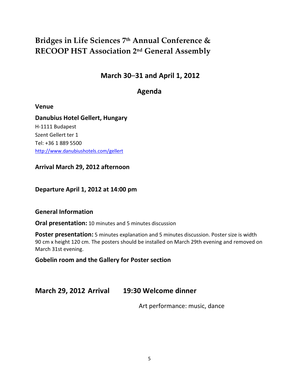## Bridges in Life Sciences 7<sup>th</sup> Annual Conference & RECOOP HST Association 2nd General Assembly

### March 30–31 and April 1, 2012

### Agenda

#### Venue

Danubius Hotel Gellert, Hungary H-1111 Budapest Szent Gellert ter 1 Tel: +36 1 889 5500 http://www.danubiushotels.com/gellert

Arrival March 29, 2012 afternoon

Departure April 1, 2012 at 14:00 pm

#### General Information

Oral presentation: 10 minutes and 5 minutes discussion

Poster presentation: 5 minutes explanation and 5 minutes discussion. Poster size is width 90 cm x height 120 cm. The posters should be installed on March 29th evening and removed on March 31st evening.

### Gobelin room and the Gallery for Poster section

### March 29, 2012 Arrival 19:30 Welcome dinner

Art performance: music, dance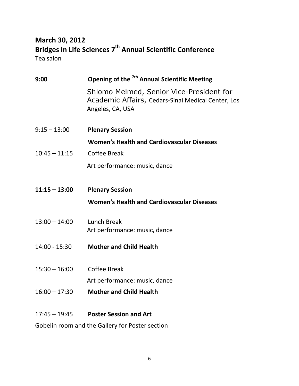## March 30, 2012 Bridges in Life Sciences 7<sup>th</sup> Annual Scientific Conference Tea salon

| 9:00            | Opening of the <sup>7th</sup> Annual Scientific Meeting                                                            |
|-----------------|--------------------------------------------------------------------------------------------------------------------|
|                 | Shlomo Melmed, Senior Vice-President for<br>Academic Affairs, Cedars-Sinai Medical Center, Los<br>Angeles, CA, USA |
| $9:15 - 13:00$  | <b>Plenary Session</b>                                                                                             |
|                 | <b>Women's Health and Cardiovascular Diseases</b>                                                                  |
| $10:45 - 11:15$ | <b>Coffee Break</b>                                                                                                |
|                 | Art performance: music, dance                                                                                      |
| $11:15 - 13:00$ | <b>Plenary Session</b>                                                                                             |
|                 | <b>Women's Health and Cardiovascular Diseases</b>                                                                  |
| $13:00 - 14:00$ | <b>Lunch Break</b><br>Art performance: music, dance                                                                |
| $14:00 - 15:30$ | <b>Mother and Child Health</b>                                                                                     |
| $15:30 - 16:00$ | <b>Coffee Break</b>                                                                                                |
|                 | Art performance: music, dance                                                                                      |
| $16:00 - 17:30$ | <b>Mother and Child Health</b>                                                                                     |
| $17:45 - 19:45$ | <b>Poster Session and Art</b>                                                                                      |
|                 | Gobelin room and the Gallery for Poster section                                                                    |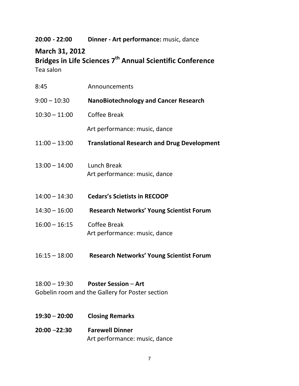### 20:00 - 22:00 Dinner - Art performance: music, dance

## March 31, 2012

Bridges in Life Sciences 7<sup>th</sup> Annual Scientific Conference Tea salon

| 8:45            | Announcements                                                                  |
|-----------------|--------------------------------------------------------------------------------|
| $9:00 - 10:30$  | <b>NanoBiotechnology and Cancer Research</b>                                   |
| $10:30 - 11:00$ | <b>Coffee Break</b>                                                            |
|                 | Art performance: music, dance                                                  |
| $11:00 - 13:00$ | <b>Translational Research and Drug Development</b>                             |
| $13:00 - 14:00$ | Lunch Break<br>Art performance: music, dance                                   |
| $14:00 - 14:30$ | <b>Cedars's Scietists in RECOOP</b>                                            |
| $14:30 - 16:00$ | <b>Research Networks' Young Scientist Forum</b>                                |
| $16:00 - 16:15$ | Coffee Break<br>Art performance: music, dance                                  |
| $16:15 - 18:00$ | <b>Research Networks' Young Scientist Forum</b>                                |
| $18:00 - 19:30$ | <b>Poster Session - Art</b><br>Gobelin room and the Gallery for Poster section |
| $19:30 - 20:00$ | <b>Closing Remarks</b>                                                         |

20:00 –22:30 Farewell Dinner Art performance: music, dance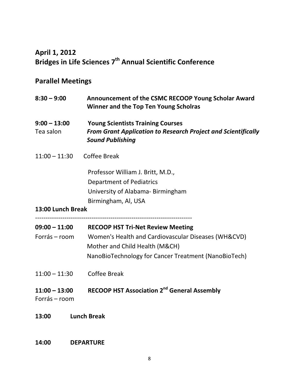## April 1, 2012 Bridges in Life Sciences 7<sup>th</sup> Annual Scientific Conference

## Parallel Meetings

| $8:30 - 9:00$                    | Announcement of the CSMC RECOOP Young Scholar Award<br><b>Winner and the Top Ten Young Scholras</b>                                         |
|----------------------------------|---------------------------------------------------------------------------------------------------------------------------------------------|
| $9:00 - 13:00$<br>Tea salon      | <b>Young Scientists Training Courses</b><br><b>From Grant Application to Research Project and Scientifically</b><br><b>Sound Publishing</b> |
| $11:00 - 11:30$                  | <b>Coffee Break</b>                                                                                                                         |
|                                  | Professor William J. Britt, M.D.,                                                                                                           |
|                                  | <b>Department of Pediatrics</b>                                                                                                             |
|                                  | University of Alabama-Birmingham                                                                                                            |
|                                  | Birmingham, Al, USA                                                                                                                         |
| 13:00 Lunch Break                |                                                                                                                                             |
|                                  | 09:00 - 11:00 RECOOP HST Tri-Net Review Meeting                                                                                             |
| Forrás – room                    | Women's Health and Cardiovascular Diseases (WH&CVD)                                                                                         |
|                                  |                                                                                                                                             |
|                                  | Mother and Child Health (M&CH)<br>NanoBioTechnology for Cancer Treatment (NanoBioTech)                                                      |
| $11:00 - 11:30$                  | <b>Coffee Break</b>                                                                                                                         |
| $11:00 - 13:00$<br>Forrás – room | <b>RECOOP HST Association 2<sup>nd</sup> General Assembly</b>                                                                               |

14:00 DEPARTURE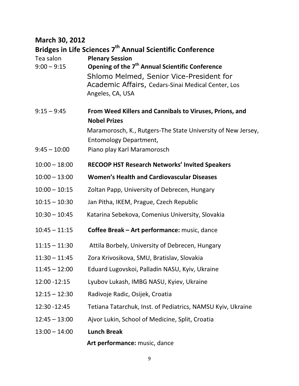## March 30, 2012

Bridges in Life Sciences 7<sup>th</sup> Annual Scientific Conference

| Tea salon<br>$9:00 - 9:15$      | <b>Plenary Session</b><br>Opening of the 7 <sup>th</sup> Annual Scientific Conference<br>Shlomo Melmed, Senior Vice-President for<br>Academic Affairs, Cedars-Sinai Medical Center, Los<br>Angeles, CA, USA    |
|---------------------------------|----------------------------------------------------------------------------------------------------------------------------------------------------------------------------------------------------------------|
| $9:15 - 9:45$<br>$9:45 - 10:00$ | From Weed Killers and Cannibals to Viruses, Prions, and<br><b>Nobel Prizes</b><br>Maramorosch, K., Rutgers-The State University of New Jersey,<br><b>Entomology Department,</b><br>Piano play Karl Maramorosch |
| $10:00 - 18:00$                 | <b>RECOOP HST Research Networks' Invited Speakers</b>                                                                                                                                                          |
| $10:00 - 13:00$                 | <b>Women's Health and Cardiovascular Diseases</b>                                                                                                                                                              |
| $10:00 - 10:15$                 | Zoltan Papp, University of Debrecen, Hungary                                                                                                                                                                   |
| $10:15 - 10:30$                 | Jan Pitha, IKEM, Prague, Czech Republic                                                                                                                                                                        |
| $10:30 - 10:45$                 | Katarina Sebekova, Comenius University, Slovakia                                                                                                                                                               |
| $10:45 - 11:15$                 | Coffee Break - Art performance: music, dance                                                                                                                                                                   |
| $11:15 - 11:30$                 | Attila Borbely, University of Debrecen, Hungary                                                                                                                                                                |
| $11:30 - 11:45$                 | Zora Krivosikova, SMU, Bratislav, Slovakia                                                                                                                                                                     |
| $11:45 - 12:00$                 | Eduard Lugovskoi, Palladin NASU, Kyiv, Ukraine                                                                                                                                                                 |
| 12:00 - 12:15                   | Lyubov Lukash, IMBG NASU, Kyiev, Ukraine                                                                                                                                                                       |
| $12:15 - 12:30$                 | Radivoje Radic, Osijek, Croatia                                                                                                                                                                                |
| 12:30 - 12:45                   | Tetiana Tatarchuk, Inst. of Pediatrics, NAMSU Kyiv, Ukraine                                                                                                                                                    |
| $12:45 - 13:00$                 | Ajvor Lukin, School of Medicine, Split, Croatia                                                                                                                                                                |
| $13:00 - 14:00$                 | <b>Lunch Break</b>                                                                                                                                                                                             |
|                                 | Art performance: music, dance                                                                                                                                                                                  |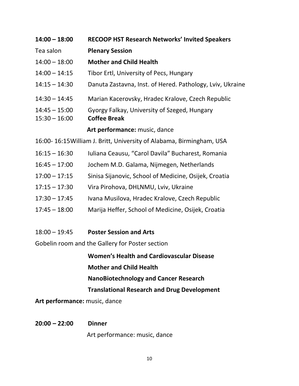| $14:00 - 18:00$                                                      | <b>RECOOP HST Research Networks' Invited Speakers</b>                                                    |  |
|----------------------------------------------------------------------|----------------------------------------------------------------------------------------------------------|--|
| Tea salon                                                            | <b>Plenary Session</b>                                                                                   |  |
| $14:00 - 18:00$                                                      | <b>Mother and Child Health</b>                                                                           |  |
| $14:00 - 14:15$                                                      | Tibor Ertl, University of Pecs, Hungary                                                                  |  |
| $14:15 - 14:30$                                                      | Danuta Zastavna, Inst. of Hered. Pathology, Lviv, Ukraine                                                |  |
| $14:30 - 14:45$                                                      | Marian Kacerovsky, Hradec Kralove, Czech Republic                                                        |  |
| $14:45 - 15:00$                                                      | Gyorgy Falkay, University of Szeged, Hungary                                                             |  |
| $15:30 - 16:00$                                                      | <b>Coffee Break</b>                                                                                      |  |
|                                                                      | Art performance: music, dance                                                                            |  |
| 16:00-16:15 William J. Britt, University of Alabama, Birmingham, USA |                                                                                                          |  |
| $16:15 - 16:30$                                                      | Iuliana Ceausu, "Carol Davila" Bucharest, Romania                                                        |  |
| $16:45 - 17:00$                                                      | Jochem M.D. Galama, Nijmegen, Netherlands                                                                |  |
| $17:00 - 17:15$                                                      | Sinisa Sijanovic, School of Medicine, Osijek, Croatia                                                    |  |
| $17:15 - 17:30$                                                      | Vira Pirohova, DHLNMU, Lviv, Ukraine                                                                     |  |
| $17:30 - 17:45$                                                      | Ivana Musilova, Hradec Kralove, Czech Republic                                                           |  |
| 17.15.10.00                                                          | $M = \frac{1}{2}$ the figure colour of $M = \frac{1}{2}$ and $\sigma = 0$ . The contract of $\sigma = 1$ |  |

- 17:45 18:00 Marija Heffer, School of Medicine, Osijek, Croatia
- 18:00 19:45 Poster Session and Arts

Gobelin room and the Gallery for Poster section

Women's Health and Cardiovascular Disease

Mother and Child Health

NanoBiotechnology and Cancer Research

Translational Research and Drug Development

Art performance: music, dance

## 20:00 – 22:00 Dinner

Art performance: music, dance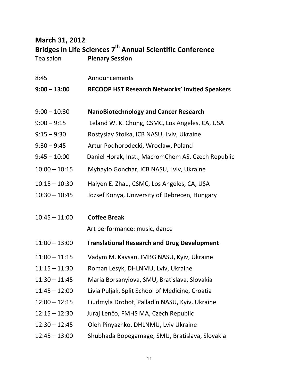## March 31, 2012 Bridges in Life Sciences 7<sup>th</sup> Annual Scientific Conference Tea salon **Plenary Session**

| 8:45            | Announcements                                         |
|-----------------|-------------------------------------------------------|
| $9:00 - 13:00$  | <b>RECOOP HST Research Networks' Invited Speakers</b> |
|                 |                                                       |
| $9:00 - 10:30$  | <b>NanoBiotechnology and Cancer Research</b>          |
| $9:00 - 9:15$   | Leland W. K. Chung, CSMC, Los Angeles, CA, USA        |
| $9:15 - 9:30$   | Rostyslav Stoika, ICB NASU, Lviv, Ukraine             |
| $9:30 - 9:45$   | Artur Podhorodecki, Wroclaw, Poland                   |
| $9:45 - 10:00$  | Daniel Horak, Inst., MacromChem AS, Czech Republic    |
| $10:00 - 10:15$ | Myhaylo Gonchar, ICB NASU, Lviv, Ukraine              |
| $10:15 - 10:30$ | Haiyen E. Zhau, CSMC, Los Angeles, CA, USA            |
| $10:30 - 10:45$ | Jozsef Konya, University of Debrecen, Hungary         |
|                 |                                                       |
| $10:45 - 11:00$ | <b>Coffee Break</b>                                   |
|                 | Art performance: music, dance                         |
| $11:00 - 13:00$ | <b>Translational Research and Drug Development</b>    |
| $11:00 - 11:15$ | Vadym M. Kavsan, IMBG NASU, Kyiv, Ukraine             |
| $11:15 - 11:30$ | Roman Lesyk, DHLNMU, Lviv, Ukraine                    |
| $11:30 - 11:45$ | Maria Borsanyiova, SMU, Bratislava, Slovakia          |
| $11:45 - 12:00$ | Livia Puljak, Split School of Medicine, Croatia       |
| $12:00 - 12:15$ | Liudmyla Drobot, Palladin NASU, Kyiv, Ukraine         |
| $12:15 - 12:30$ | Juraj Lenčo, FMHS MA, Czech Republic                  |
| $12:30 - 12:45$ | Oleh Pinyazhko, DHLNMU, Lviv Ukraine                  |
| $12:45 - 13:00$ | Shubhada Bopegamage, SMU, Bratislava, Slovakia        |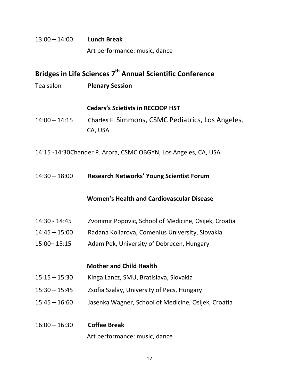## 13:00 – 14:00 Lunch Break Art performance: music, dance

## Bridges in Life Sciences 7<sup>th</sup> Annual Scientific Conference

Tea salon **Plenary Session** 

#### Cedars's Scietists in RECOOP HST

- 14:00 14:15 Charles F. Simmons, CSMC Pediatrics, Los Angeles, CA, USA
- 14:15 -14:30 Chander P. Arora, CSMC OBGYN, Los Angeles, CA, USA

#### 14:30 – 18:00 Research Networks' Young Scientist Forum

#### Women's Health and Cardiovascular Disease

- 14:30 14:45 Zvonimir Popovic, School of Medicine, Osijek, Croatia
- 14:45 15:00 Radana Kollarova, Comenius University, Slovakia
- 15:00– 15:15 Adam Pek, University of Debrecen, Hungary

#### Mother and Child Health

- 15:15 15:30 Kinga Lancz, SMU, Bratislava, Slovakia
- 15:30 15:45 Zsofia Szalay, University of Pecs, Hungary
- 15:45 16:60 Jasenka Wagner, School of Medicine, Osijek, Croatia
- 16:00 16:30 Coffee Break Art performance: music, dance